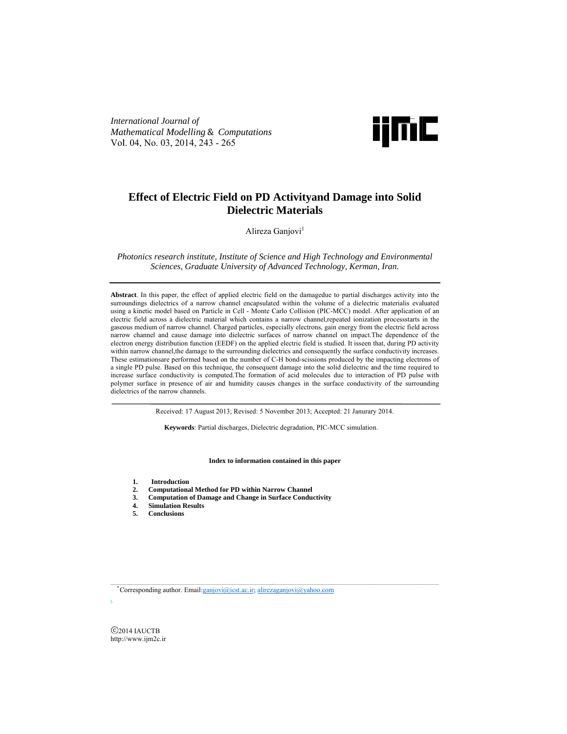*International Journal of Ma thematical M Modelling* & *C Computations* Vol. 04, No. 03, 2014, 243 - 265



# **Effect of Electric Field on PD Activityand Damage into Solid Dielectric c Materials**

Alireza Ganjovi<sup>1</sup>

*Photonics research institute, Institute of Science and High Technology and Environmental Sciences, Graduate University of Advanced Technology, Kerman, Iran.* 

Abstract. In this paper, the effect of applied electric field on the damagedue to partial discharges activity into the surroundings dielectrics of a narrow channel encapsulated within the volume of a dielectric materialis evaluated using a kinetic model based on Particle in Cell - Monte Carlo Collision (PIC-MCC) model. After application of an electric field across a dielectric material which contains a narrow channel, repeated ionization processstarts in the gaseous medium of narrow channel. Charged particles, especially electrons, gain energy from the electric field across narrow channel and cause damage into dielectric surfaces of narrow channel on impact.The dependence of the electron energy distribution function (EEDF) on the applied electric field is studied. It isseen that, during PD activity within narrow channel, the damage to the surrounding dielectrics and consequently the surface conductivity increases. These estimationsare performed based on the number of C-H bond-scissions produced by the impacting electrons of a single PD pulse. Based on this technique, the consequent damage into the solid dielectric and the time required to increase surface conductivity is computed.The formation of acid molecules due to interaction of PD pulse with polymer surface in presence of air and humidity causes changes in the surface conductivity of the surrounding diele ectrics of the narro w channels.

Received: 17 August 2013; Revised: 5 November 2013; Accepted: 21 Janurary 2014.

Keywords: Partial discharges, Dielectric degradation, PIC-MCC simulation.

**Index x to information c contained in this paper** 

- 1. Introduction
- 2. **Computational Method for PD within Narrow Channel**
- 3. Computation of Damage and Change in Surface Conductivity
- **4. Simulati on Results**
- **5. Conclusi ions**

\*Corresponding author. Email: ganjovi@icst.ac.ir; alirezaganjovi@yahoo.com

20 014 IAUCTB http://www.ijm2c.ir

*.*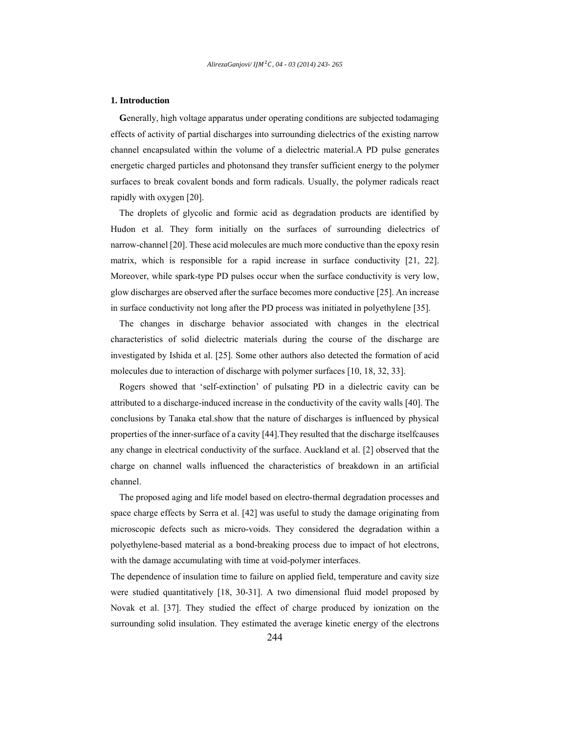### **1. Introduction**

**G**enerally, high voltage apparatus under operating conditions are subjected todamaging effects of activity of partial discharges into surrounding dielectrics of the existing narrow channel encapsulated within the volume of a dielectric material.A PD pulse generates energetic charged particles and photonsand they transfer sufficient energy to the polymer surfaces to break covalent bonds and form radicals. Usually, the polymer radicals react rapidly with oxygen [20].

The droplets of glycolic and formic acid as degradation products are identified by Hudon et al. They form initially on the surfaces of surrounding dielectrics of narrow-channel [20]. These acid molecules are much more conductive than the epoxy resin matrix, which is responsible for a rapid increase in surface conductivity [21, 22]. Moreover, while spark-type PD pulses occur when the surface conductivity is very low, glow discharges are observed after the surface becomes more conductive [25]. An increase in surface conductivity not long after the PD process was initiated in polyethylene [35].

The changes in discharge behavior associated with changes in the electrical characteristics of solid dielectric materials during the course of the discharge are investigated by Ishida et al. [25]. Some other authors also detected the formation of acid molecules due to interaction of discharge with polymer surfaces [10, 18, 32, 33].

Rogers showed that 'self-extinction' of pulsating PD in a dielectric cavity can be attributed to a discharge-induced increase in the conductivity of the cavity walls [40]. The conclusions by Tanaka etal.show that the nature of discharges is influenced by physical properties of the inner-surface of a cavity [44].They resulted that the discharge itselfcauses any change in electrical conductivity of the surface. Auckland et al. [2] observed that the charge on channel walls influenced the characteristics of breakdown in an artificial channel.

The proposed aging and life model based on electro-thermal degradation processes and space charge effects by Serra et al. [42] was useful to study the damage originating from microscopic defects such as micro-voids. They considered the degradation within a polyethylene-based material as a bond-breaking process due to impact of hot electrons, with the damage accumulating with time at void-polymer interfaces.

The dependence of insulation time to failure on applied field, temperature and cavity size were studied quantitatively [18, 30-31]. A two dimensional fluid model proposed by Novak et al. [37]. They studied the effect of charge produced by ionization on the surrounding solid insulation. They estimated the average kinetic energy of the electrons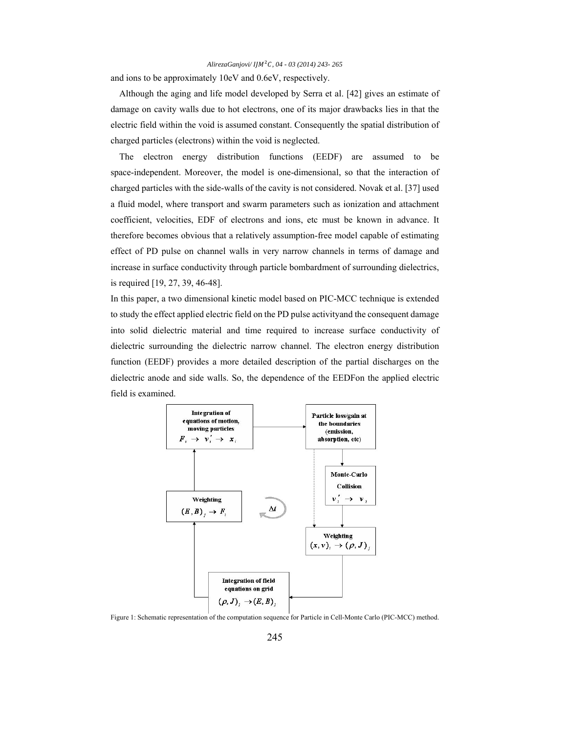and ions to be approximately 10eV and 0.6eV, respectively.

Although the aging and life model developed by Serra et al. [42] gives an estimate of damage on cavity walls due to hot electrons, one of its major drawbacks lies in that the electric field within the void is assumed constant. Consequently the spatial distribution of charged particles (electrons) within the void is neglected.

The electron energy distribution functions (EEDF) are assumed to be space-independent. Moreover, the model is one-dimensional, so that the interaction of charged particles with the side-walls of the cavity is not considered. Novak et al. [37] used a fluid model, where transport and swarm parameters such as ionization and attachment coefficient, velocities, EDF of electrons and ions, etc must be known in advance. It therefore becomes obvious that a relatively assumption-free model capable of estimating effect of PD pulse on channel walls in very narrow channels in terms of damage and increase in surface conductivity through particle bombardment of surrounding dielectrics, is required [19, 27, 39, 46-48].

In this paper, a two dimensional kinetic model based on PIC-MCC technique is extended to study the effect applied electric field on the PD pulse activityand the consequent damage into solid dielectric material and time required to increase surface conductivity of dielectric surrounding the dielectric narrow channel. The electron energy distribution function (EEDF) provides a more detailed description of the partial discharges on the dielectric anode and side walls. So, the dependence of the EEDFon the applied electric field is examined.



Figure 1: Schematic representation of the computation sequence for Particle in Cell-Monte Carlo (PIC-MCC) method.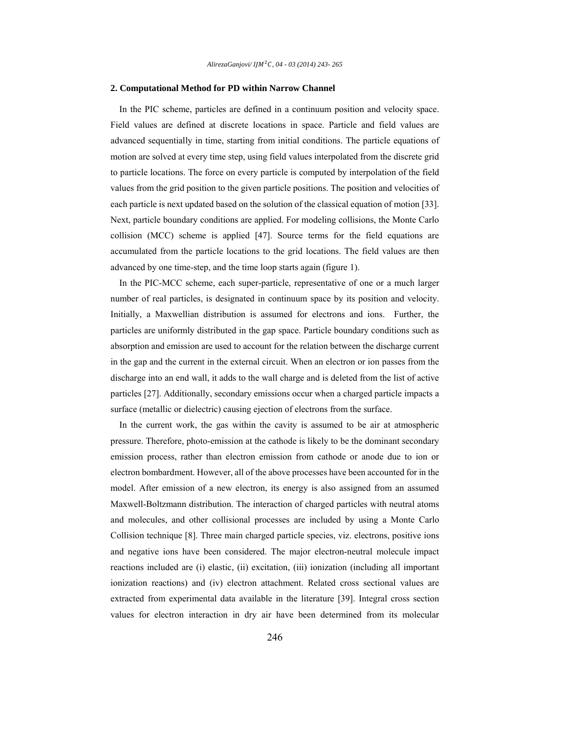### **2. Computational Method for PD within Narrow Channel**

In the PIC scheme, particles are defined in a continuum position and velocity space. Field values are defined at discrete locations in space. Particle and field values are advanced sequentially in time, starting from initial conditions. The particle equations of motion are solved at every time step, using field values interpolated from the discrete grid to particle locations. The force on every particle is computed by interpolation of the field values from the grid position to the given particle positions. The position and velocities of each particle is next updated based on the solution of the classical equation of motion [33]. Next, particle boundary conditions are applied. For modeling collisions, the Monte Carlo collision (MCC) scheme is applied [47]. Source terms for the field equations are accumulated from the particle locations to the grid locations. The field values are then advanced by one time-step, and the time loop starts again (figure 1).

In the PIC-MCC scheme, each super-particle, representative of one or a much larger number of real particles, is designated in continuum space by its position and velocity. Initially, a Maxwellian distribution is assumed for electrons and ions. Further, the particles are uniformly distributed in the gap space. Particle boundary conditions such as absorption and emission are used to account for the relation between the discharge current in the gap and the current in the external circuit. When an electron or ion passes from the discharge into an end wall, it adds to the wall charge and is deleted from the list of active particles [27]. Additionally, secondary emissions occur when a charged particle impacts a surface (metallic or dielectric) causing ejection of electrons from the surface.

In the current work, the gas within the cavity is assumed to be air at atmospheric pressure. Therefore, photo-emission at the cathode is likely to be the dominant secondary emission process, rather than electron emission from cathode or anode due to ion or electron bombardment. However, all of the above processes have been accounted for in the model. After emission of a new electron, its energy is also assigned from an assumed Maxwell-Boltzmann distribution. The interaction of charged particles with neutral atoms and molecules, and other collisional processes are included by using a Monte Carlo Collision technique [8]. Three main charged particle species, viz. electrons, positive ions and negative ions have been considered. The major electron-neutral molecule impact reactions included are (i) elastic, (ii) excitation, (iii) ionization (including all important ionization reactions) and (iv) electron attachment. Related cross sectional values are extracted from experimental data available in the literature [39]. Integral cross section values for electron interaction in dry air have been determined from its molecular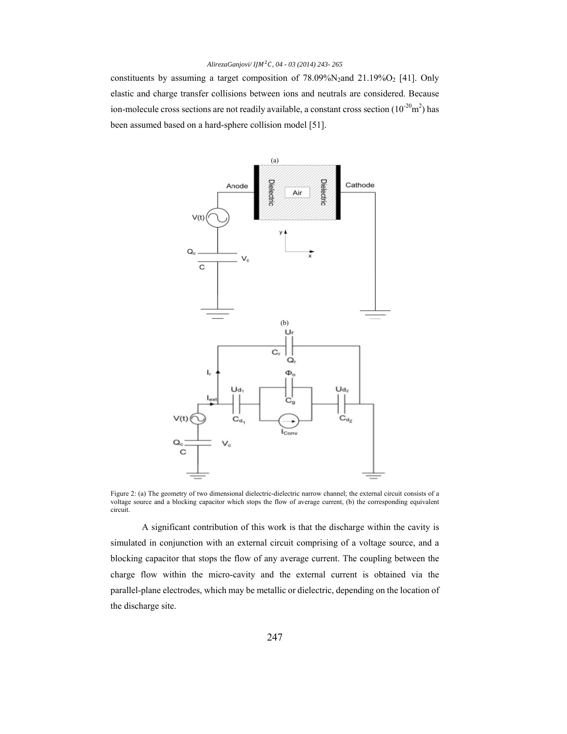constituents by assuming a target composition of  $78.09\%$ N<sub>2</sub>and  $21.19\%$ O<sub>2</sub> [41]. Only elastic and charge transfer collisions between ions and neutrals are considered. Because ion-molecule cross sections are not readily available, a constant cross section  $(10^{-20} \text{m}^2)$  has been assumed based on a hard-sphere collision model [51].



Figure 2: (a) The geometry of two dimensional dielectric-dielectric narrow channel; the external circuit consists of a voltage source and a blocking capacitor which stops the flow of average current, (b) the corresponding equivalent circuit.

 A significant contribution of this work is that the discharge within the cavity is simulated in conjunction with an external circuit comprising of a voltage source, and a blocking capacitor that stops the flow of any average current. The coupling between the charge flow within the micro-cavity and the external current is obtained via the parallel-plane electrodes, which may be metallic or dielectric, depending on the location of the discharge site.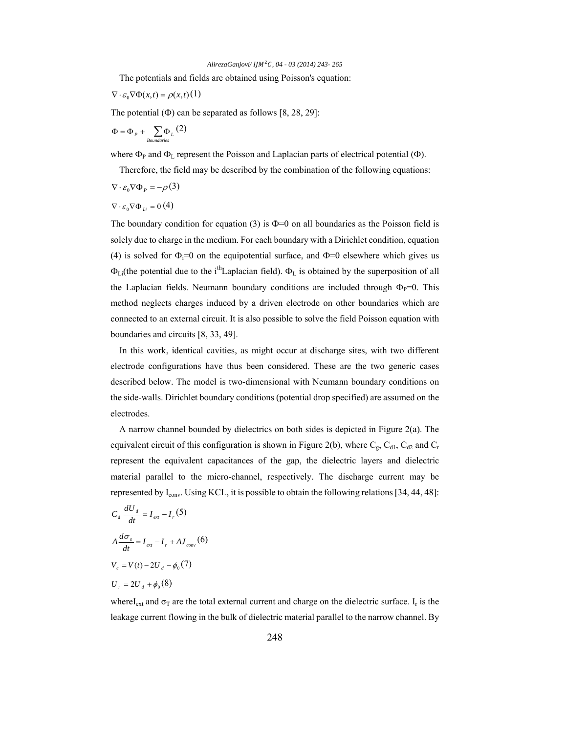The potentials and fields are obtained using Poisson's equation:

$$
\nabla \cdot \varepsilon_0 \nabla \Phi(x,t) = \rho(x,t) \, (1)
$$

The potential  $(\Phi)$  can be separated as follows [8, 28, 29]:

$$
\Phi = \Phi_P + \sum_{\text{Boundedaries}} \Phi_L (2)
$$

where  $\Phi_P$  and  $\Phi_L$  represent the Poisson and Laplacian parts of electrical potential ( $\Phi$ ).

Therefore, the field may be described by the combination of the following equations:

$$
\nabla \cdot \varepsilon_0 \nabla \Phi_p = -\rho(3)
$$

$$
\nabla \cdot \varepsilon_{0} \nabla \Phi_{\scriptscriptstyle{Li}} = 0 (4)
$$

The boundary condition for equation (3) is  $\Phi$ =0 on all boundaries as the Poisson field is solely due to charge in the medium. For each boundary with a Dirichlet condition, equation (4) is solved for  $\Phi_i = 0$  on the equipotential surface, and  $\Phi = 0$  elsewhere which gives us  $\Phi_{Li}$ (the potential due to the i<sup>th</sup>Laplacian field).  $\Phi_L$  is obtained by the superposition of all the Laplacian fields. Neumann boundary conditions are included through  $\Phi_P=0$ . This method neglects charges induced by a driven electrode on other boundaries which are connected to an external circuit. It is also possible to solve the field Poisson equation with boundaries and circuits [8, 33, 49].

In this work, identical cavities, as might occur at discharge sites, with two different electrode configurations have thus been considered. These are the two generic cases described below. The model is two-dimensional with Neumann boundary conditions on the side-walls. Dirichlet boundary conditions (potential drop specified) are assumed on the electrodes.

A narrow channel bounded by dielectrics on both sides is depicted in Figure 2(a). The equivalent circuit of this configuration is shown in Figure 2(b), where  $C_g$ ,  $C_{d1}$ ,  $C_{d2}$  and  $C_r$ represent the equivalent capacitances of the gap, the dielectric layers and dielectric material parallel to the micro-channel, respectively. The discharge current may be represented by I<sub>conv</sub>. Using KCL, it is possible to obtain the following relations [34, 44, 48]:

$$
C_d \frac{dU_d}{dt} = I_{ext} - I_r(5)
$$
  
\n
$$
A \frac{d\sigma_s}{dt} = I_{ext} - I_r + AJ_{conv}(6)
$$
  
\n
$$
V_c = V(t) - 2U_d - \phi_0(7)
$$
  
\n
$$
U_r = 2U_d + \phi_0(8)
$$

*dU*

where I<sub>ext</sub> and  $\sigma_T$  are the total external current and charge on the dielectric surface. I<sub>r</sub> is the leakage current flowing in the bulk of dielectric material parallel to the narrow channel. By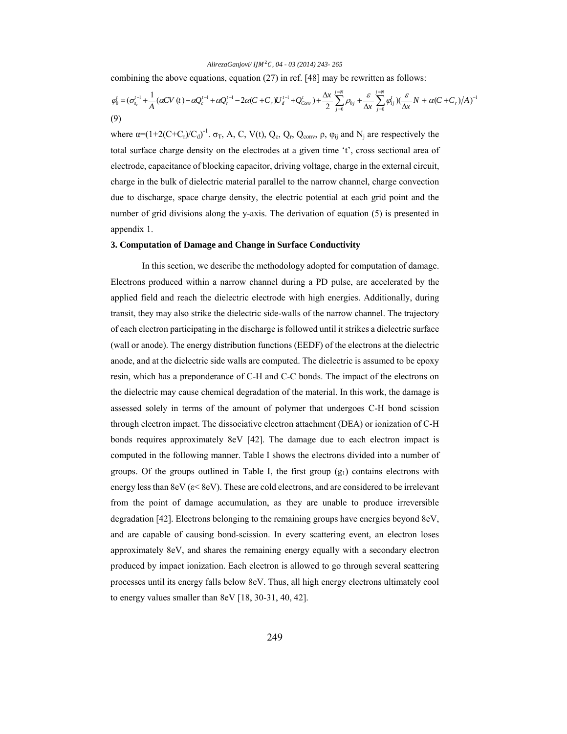combining the above equations, equation (27) in ref. [48] may be rewritten as follows:

$$
\phi_0^t = (\sigma_{s_r}^{t-1} + \frac{1}{A} (\alpha CV(t) - \alpha Q_c^{t-1} + \alpha Q_r^{t-1} - 2\alpha (C + C_r)U_d^{t-1} + Q_{\text{conv}}^t) + \frac{\Delta x}{2} \sum_{j=0}^{j=N} \rho_{0j} + \frac{\varepsilon}{\Delta x} \sum_{j=0}^{j=N} \phi_{j}^t) (\frac{\varepsilon}{\Delta x} N + \alpha (C + C_r)/A)^{-1}
$$
\n(9)

where  $\alpha = (1 + 2(C + C_r)/C_d)^{-1}$ .  $\sigma_T$ , A, C, V(t), Q<sub>c</sub>, Q<sub>r</sub>, Q<sub>conv</sub>,  $\rho$ ,  $\varphi_{ij}$  and N<sub>j</sub> are respectively the total surface charge density on the electrodes at a given time 't', cross sectional area of electrode, capacitance of blocking capacitor, driving voltage, charge in the external circuit, charge in the bulk of dielectric material parallel to the narrow channel, charge convection due to discharge, space charge density, the electric potential at each grid point and the number of grid divisions along the y-axis. The derivation of equation (5) is presented in appendix 1.

### **3. Computation of Damage and Change in Surface Conductivity**

In this section, we describe the methodology adopted for computation of damage. Electrons produced within a narrow channel during a PD pulse, are accelerated by the applied field and reach the dielectric electrode with high energies. Additionally, during transit, they may also strike the dielectric side-walls of the narrow channel. The trajectory of each electron participating in the discharge is followed until it strikes a dielectric surface (wall or anode). The energy distribution functions (EEDF) of the electrons at the dielectric anode, and at the dielectric side walls are computed. The dielectric is assumed to be epoxy resin, which has a preponderance of C-H and C-C bonds. The impact of the electrons on the dielectric may cause chemical degradation of the material. In this work, the damage is assessed solely in terms of the amount of polymer that undergoes C-H bond scission through electron impact. The dissociative electron attachment (DEA) or ionization of C-H bonds requires approximately 8eV [42]. The damage due to each electron impact is computed in the following manner. Table I shows the electrons divided into a number of groups. Of the groups outlined in Table I, the first group  $(g_1)$  contains electrons with energy less than 8eV ( $\varepsilon$  < 8eV). These are cold electrons, and are considered to be irrelevant from the point of damage accumulation, as they are unable to produce irreversible degradation [42]. Electrons belonging to the remaining groups have energies beyond 8eV, and are capable of causing bond-scission. In every scattering event, an electron loses approximately 8eV, and shares the remaining energy equally with a secondary electron produced by impact ionization. Each electron is allowed to go through several scattering processes until its energy falls below 8eV. Thus, all high energy electrons ultimately cool to energy values smaller than 8eV [18, 30-31, 40, 42].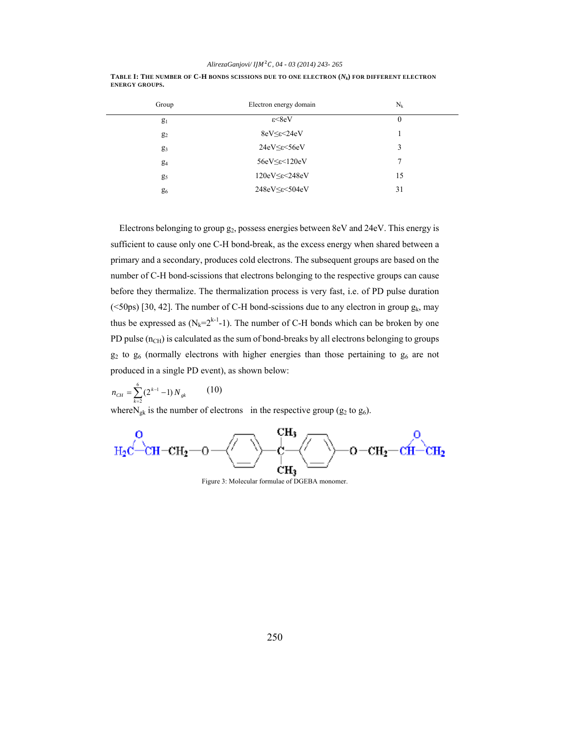| $N_k$<br>Group<br>Electron energy domain |  |
|------------------------------------------|--|
| $\varepsilon$ <8eV<br>0<br>$g_1$         |  |
| 8eV≤ε<24eV<br>$g_2$                      |  |
| 24eV≤ε<56eV<br>3<br>$g_3$                |  |
| 56eV≤e<120eV<br>7<br>$g_4$               |  |
| 120eV≤ε<248eV<br>15<br>g <sub>5</sub>    |  |
| 248eV≤ε<504eV<br>31<br>g <sub>6</sub>    |  |

**TABLE I: THE NUMBER OF C-H BONDS SCISSIONS DUE TO ONE ELECTRON (***Nk***) FOR DIFFERENT ELECTRON ENERGY GROUPS.** 

Electrons belonging to group g2, possess energies between 8eV and 24eV. This energy is sufficient to cause only one C-H bond-break, as the excess energy when shared between a primary and a secondary, produces cold electrons. The subsequent groups are based on the number of C-H bond-scissions that electrons belonging to the respective groups can cause before they thermalize. The thermalization process is very fast, i.e. of PD pulse duration  $(\leq 50 \text{ps})$  [30, 42]. The number of C-H bond-scissions due to any electron in group  $g_k$ , may thus be expressed as  $(N_k=2^{k-1}-1)$ . The number of C-H bonds which can be broken by one PD pulse  $(n<sub>CH</sub>)$  is calculated as the sum of bond-breaks by all electrons belonging to groups  $g_2$  to  $g_6$  (normally electrons with higher energies than those pertaining to  $g_6$  are not produced in a single PD event), as shown below:

$$
n_{CH} = \sum_{k=2}^{6} (2^{k-1} - 1) N_{gk} \tag{10}
$$

where  $N_{gk}$  is the number of electrons in the respective group ( $g_2$  to  $g_6$ ).



Figure 3: Molecular formulae of DGEBA monomer.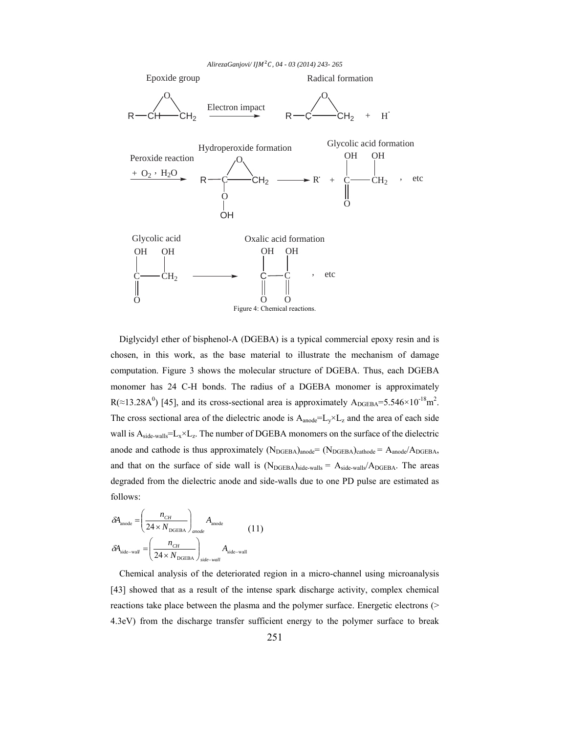



Diglycidyl ether of bisphenol-A (DGEBA) is a typical commercial epoxy resin and is chosen, in this work, as the base material to illustrate the mechanism of damage computation. Figure 3 shows the molecular structure of DGEBA. Thus, each DGEBA monomer has 24 C-H bonds. The radius of a DGEBA monomer is approximately  $R \approx 13.28 \text{A}^0$ ) [45], and its cross-sectional area is approximately  $A_{\text{DGEBA}} = 5.546 \times 10^{-18} \text{m}^2$ . The cross sectional area of the dielectric anode is  $A_{anode}=L_y\times L_z$  and the area of each side wall is  $A_{side\text{-walk}} = L_x \times L_z$ . The number of DGEBA monomers on the surface of the dielectric anode and cathode is thus approximately  $(N_{\text{DGEBA}})_{\text{anode}} = (N_{\text{DGEBA}})_{\text{cathode}} = A_{\text{anode}}/A_{\text{DGEBA}}$ and that on the surface of side wall is  $(N_{\text{DGEBA}})_{\text{side-walls}} = A_{\text{side-walls}}/A_{\text{DGEBA}}$ . The areas degraded from the dielectric anode and side-walls due to one PD pulse are estimated as follows:

$$
\delta A_{\text{anode}} = \left(\frac{n_{CH}}{24 \times N_{\text{DGEBA}}}\right)_{\text{anode}} A_{\text{anode}}
$$
\n
$$
\delta A_{\text{side-wall}} = \left(\frac{n_{CH}}{24 \times N_{\text{DGEBA}}}\right)_{\text{side-wall}} A_{\text{side-wall}}
$$
\n(11)

Chemical analysis of the deteriorated region in a micro-channel using microanalysis [43] showed that as a result of the intense spark discharge activity, complex chemical reactions take place between the plasma and the polymer surface. Energetic electrons (> 4.3eV) from the discharge transfer sufficient energy to the polymer surface to break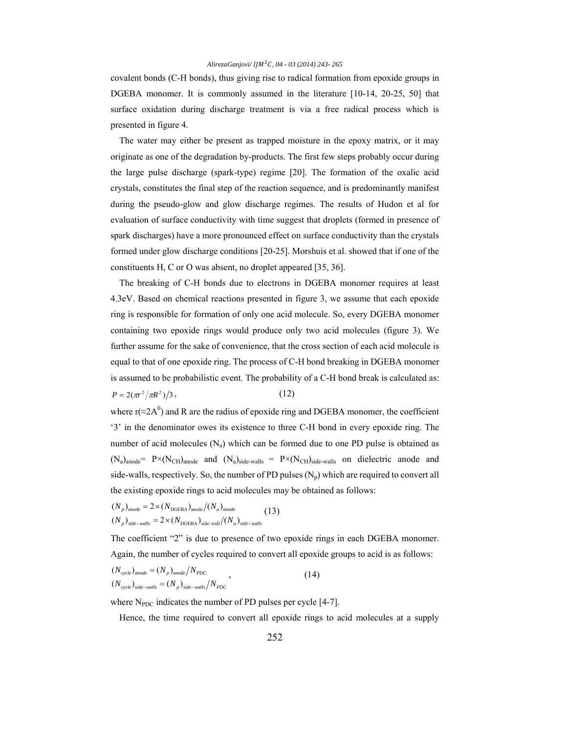covalent bonds (C-H bonds), thus giving rise to radical formation from epoxide groups in DGEBA monomer. It is commonly assumed in the literature [10-14, 20-25, 50] that surface oxidation during discharge treatment is via a free radical process which is presented in figure 4.

The water may either be present as trapped moisture in the epoxy matrix, or it may originate as one of the degradation by-products. The first few steps probably occur during the large pulse discharge (spark-type) regime [20]. The formation of the oxalic acid crystals, constitutes the final step of the reaction sequence, and is predominantly manifest during the pseudo-glow and glow discharge regimes. The results of Hudon et al for evaluation of surface conductivity with time suggest that droplets (formed in presence of spark discharges) have a more pronounced effect on surface conductivity than the crystals formed under glow discharge conditions [20-25]. Morshuis et al. showed that if one of the constituents H, C or O was absent, no droplet appeared [35, 36].

The breaking of C-H bonds due to electrons in DGEBA monomer requires at least 4.3eV. Based on chemical reactions presented in figure 3, we assume that each epoxide ring is responsible for formation of only one acid molecule. So, every DGEBA monomer containing two epoxide rings would produce only two acid molecules (figure 3). We further assume for the sake of convenience, that the cross section of each acid molecule is equal to that of one epoxide ring. The process of C-H bond breaking in DGEBA monomer is assumed to be probabilistic event. The probability of a C-H bond break is calculated as:

 $P = 2(\pi r^2 / \pi R^2)/3$ , (12)

where  $r(\approx 2A^0)$  and R are the radius of epoxide ring and DGEBA monomer, the coefficient '3' in the denominator owes its existence to three C-H bond in every epoxide ring. The number of acid molecules  $(N_a)$  which can be formed due to one PD pulse is obtained as  $(N_a)_{anode}$  = P $\times$ (N<sub>CH</sub>)<sub>anode</sub> and (N<sub>a</sub>)<sub>side-walls</sub> = P $\times$ (N<sub>CH</sub>)<sub>side-walls</sub> on dielectric anode and side-walls, respectively. So, the number of PD pulses  $(N_p)$  which are required to convert all the existing epoxide rings to acid molecules may be obtained as follows:

$$
(N_p)_{anode} = 2 \times (N_{\text{DGEBA}})_{\text{anode}} / (N_a)_{\text{anode}}
$$
  

$$
(N_p)_{side-walls} = 2 \times (N_{\text{DGEBA}})_{\text{side-wall}} / (N_a)_{\text{side-walls}}
$$
 (13)

The coefficient "2" is due to presence of two epoxide rings in each DGEBA monomer. Again, the number of cycles required to convert all epoxide groups to acid is as follows:

$$
(N_{cycle})_{anode} = (N_p)_{anode} / N_{PDC}
$$
  

$$
(N_{cycle})_{side-walls} = (N_p)_{side-walls} / N_{PDC}
$$
 (14)

where  $N_{PDC}$  indicates the number of PD pulses per cycle [4-7].

Hence, the time required to convert all epoxide rings to acid molecules at a supply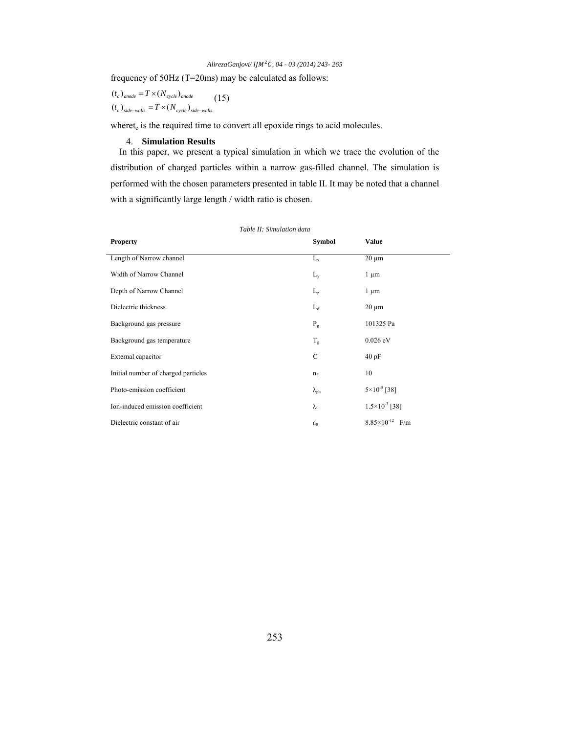frequency of 50Hz (T=20ms) may be calculated as follows:

$$
(t_c)_{anode} = T \times (N_{cycle})_{anode}
$$
  
\n
$$
(t_c)_{side-walls} = T \times (N_{cycle})_{side-walls}
$$
 (15)

wheret<sub>c</sub> is the required time to convert all epoxide rings to acid molecules.

#### 4. **Simulation Results**

l.

In this paper, we present a typical simulation in which we trace the evolution of the distribution of charged particles within a narrow gas-filled channel. The simulation is performed with the chosen parameters presented in table II. It may be noted that a channel with a significantly large length / width ratio is chosen.

| Table II: Simulation data           |                    |                            |  |  |  |
|-------------------------------------|--------------------|----------------------------|--|--|--|
| <b>Property</b>                     | Symbol             | <b>Value</b>               |  |  |  |
| Length of Narrow channel            | $L_{x}$            | $20 \mu m$                 |  |  |  |
| Width of Narrow Channel             | $L_{v}$            | $1 \mu m$                  |  |  |  |
| Depth of Narrow Channel             | $L_{z}$            | $1 \mu m$                  |  |  |  |
| Dielectric thickness                | $L_d$              | $20 \mu m$                 |  |  |  |
| Background gas pressure             | P <sub>g</sub>     | 101325 Pa                  |  |  |  |
| Background gas temperature          | $T_g$              | $0.026$ eV                 |  |  |  |
| External capacitor                  | $\mathcal{C}$      | 40pF                       |  |  |  |
| Initial number of charged particles | $n_f$              | 10                         |  |  |  |
| Photo-emission coefficient          | $\lambda_{\rm ph}$ | $5\times10^{-5}$ [38]      |  |  |  |
| Ion-induced emission coefficient    | λi                 | $1.5\times10^{-3}$ [38]    |  |  |  |
| Dielectric constant of air          | $\varepsilon_0$    | $8.85 \times 10^{-12}$ F/m |  |  |  |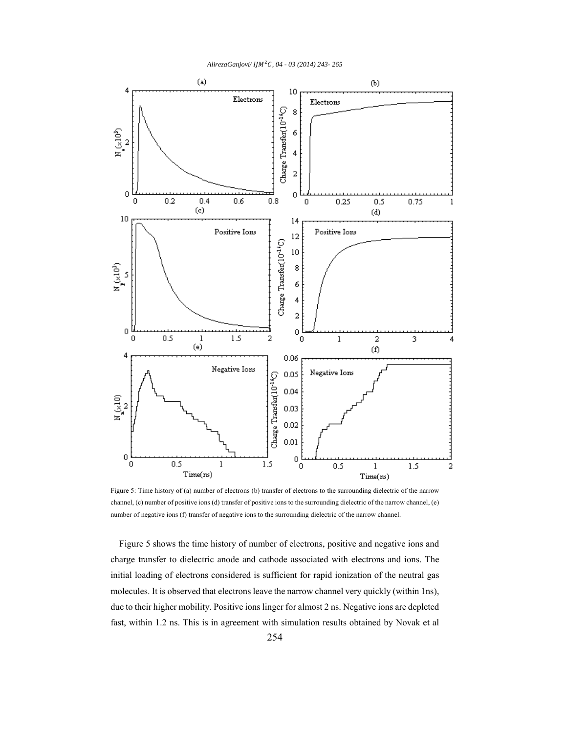*AlirezaGanjovi/ IJM<sup>2</sup>C*, 04 - 03 (2014) 243- 265



Figure 5: Time history of (a) number of electrons (b) transfer of electrons to the surrounding dielectric of the narrow channel, (c) number of positive ions (d) transfer of positive ions to the surrounding dielectric of the narrow channel, (e) number of negative ions (f) transfer of negative ions to the surrounding dielectric of the narrow channel.

Figure 5 shows the time history of number of electrons, positive and negative ions and charge transfer to dielectric anode and cathode associated with electrons and ions. The initial loading of electrons considered is sufficient for rapid ionization of the neutral gas molecules. It is observed that electrons leave the narrow channel very quickly (within 1ns), due to their higher mobility. Positive ions linger for almost 2 ns. Negative ions are depleted fast, within 1.2 ns. This is in agreement with simulation results obtained by Novak et al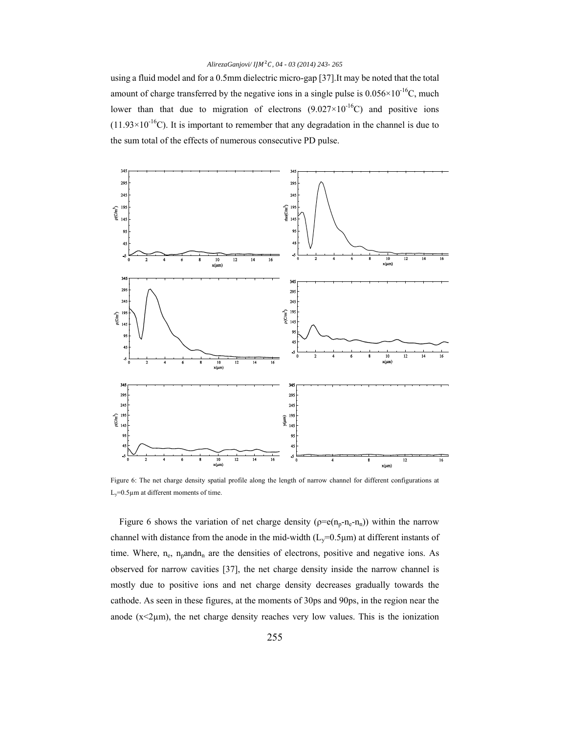using a fluid model and for a 0.5mm dielectric micro-gap [37].It may be noted that the total amount of charge transferred by the negative ions in a single pulse is  $0.056 \times 10^{-16}$ C, much lower than that due to migration of electrons  $(9.027 \times 10^{-16} \text{C})$  and positive ions  $(11.93\times10^{-16}C)$ . It is important to remember that any degradation in the channel is due to the sum total of the effects of numerous consecutive PD pulse.



Figure 6: The net charge density spatial profile along the length of narrow channel for different configurations at  $L_v=0.5\mu m$  at different moments of time.

Figure 6 shows the variation of net charge density ( $p=e(n_p-n_e-n_n)$ ) within the narrow channel with distance from the anode in the mid-width  $(L_v=0.5\mu m)$  at different instants of time. Where,  $n_e$ ,  $n_p$ and $n_n$  are the densities of electrons, positive and negative ions. As observed for narrow cavities [37], the net charge density inside the narrow channel is mostly due to positive ions and net charge density decreases gradually towards the cathode. As seen in these figures, at the moments of 30ps and 90ps, in the region near the anode  $(x<2\mu m)$ , the net charge density reaches very low values. This is the ionization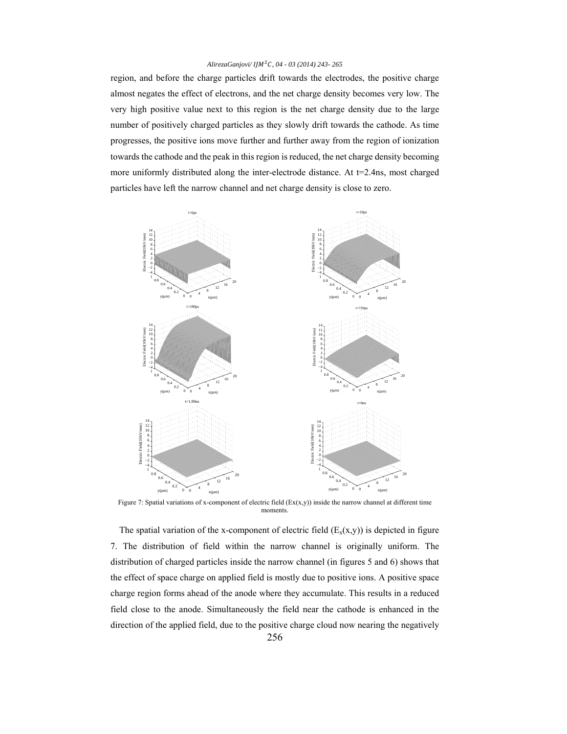region, and before the charge particles drift towards the electrodes, the positive charge almost negates the effect of electrons, and the net charge density becomes very low. The very high positive value next to this region is the net charge density due to the large number of positively charged particles as they slowly drift towards the cathode. As time progresses, the positive ions move further and further away from the region of ionization towards the cathode and the peak in this region is reduced, the net charge density becoming more uniformly distributed along the inter-electrode distance. At t=2.4ns, most charged particles have left the narrow channel and net charge density is close to zero.



Figure 7: Spatial variations of x-component of electric field  $(Ex(x, y))$  inside the narrow channel at different time moments.

The spatial variation of the x-component of electric field  $(E_x(x,y))$  is depicted in figure 7. The distribution of field within the narrow channel is originally uniform. The distribution of charged particles inside the narrow channel (in figures 5 and 6) shows that the effect of space charge on applied field is mostly due to positive ions. A positive space charge region forms ahead of the anode where they accumulate. This results in a reduced field close to the anode. Simultaneously the field near the cathode is enhanced in the direction of the applied field, due to the positive charge cloud now nearing the negatively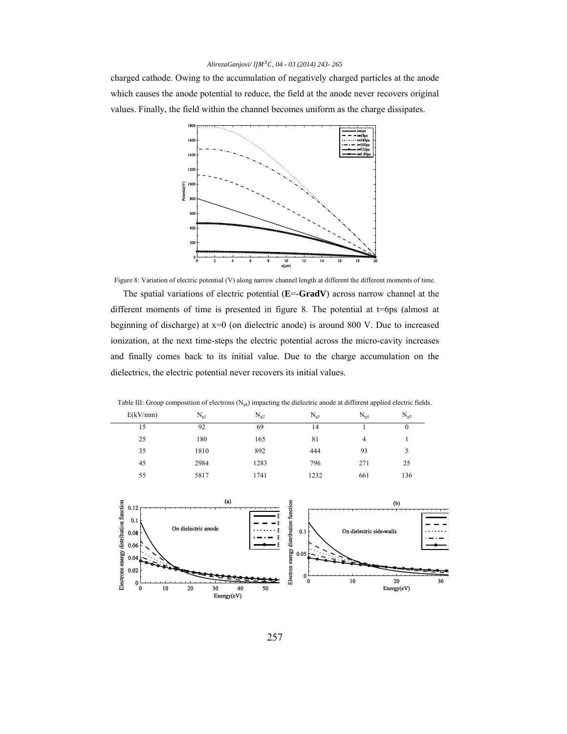charged cathode. Owing to the accumulation of negatively charged particles at the anode which causes the anode potential to reduce, the field at the anode never recovers original values. Finally, the field within the channel becomes uniform as the charge dissipates.



Figure 8: Variation of electric potential (V) along narrow channel length at different the different moments of time.

The spatial variations of electric potential (**E**=-**GradV**) across narrow channel at the different moments of time is presented in figure 8. The potential at t=6ps (almost at beginning of discharge) at x=0 (on dielectric anode) is around 800 V. Due to increased ionization, at the next time-steps the electric potential across the micro-cavity increases and finally comes back to its initial value. Due to the charge accumulation on the dielectrics, the electric potential never recovers its initial values.

Table III: Group composition of electrons  $(N_{\text{gk}})$  impacting the dielectric anode at different applied electric fields.

| E(kV/mm) | $N_{\rm gl}$ | $N_{g2}$ | $N_{g3}$ | $N_{g4}$ | $N_{g5}$ |
|----------|--------------|----------|----------|----------|----------|
| 15       | 92           | 69       | 14       |          | $\theta$ |
| 25       | 180          | 165      | 81       | 4        |          |
| 35       | 1810         | 892      | 444      | 93       |          |
| 45       | 2984         | 1283     | 796      | 271      | 25       |
| 55       | 5817         | 1741     | 1232     | 661      | 136      |

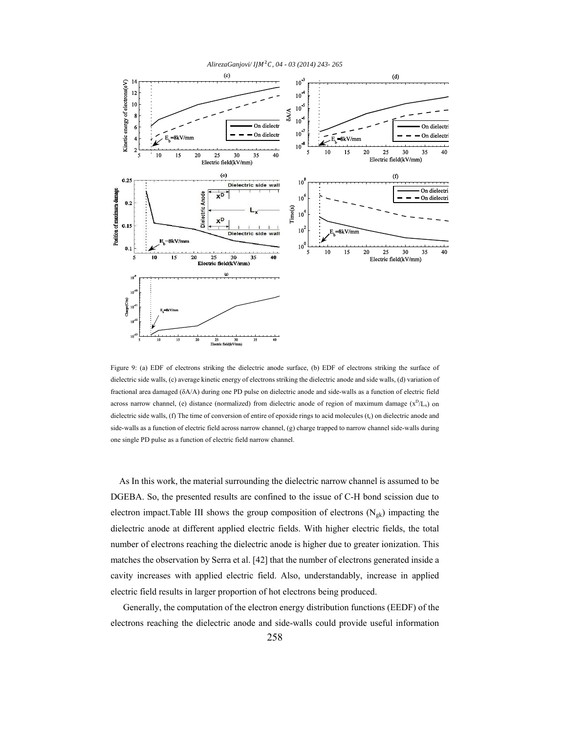

Figure 9: (a) EDF of electrons striking the dielectric anode surface, (b) EDF of electrons striking the surface of dielectric side walls, (c) average kinetic energy of electrons striking the dielectric anode and side walls, (d) variation of fractional area damaged (δA/A) during one PD pulse on dielectric anode and side-walls as a function of electric field across narrow channel, (e) distance (normalized) from dielectric anode of region of maximum damage  $(x^D/L_x)$  on dielectric side walls, (f) The time of conversion of entire of epoxide rings to acid molecules  $(t<sub>c</sub>)$  on dielectric anode and side-walls as a function of electric field across narrow channel, (g) charge trapped to narrow channel side-walls during one single PD pulse as a function of electric field narrow channel.

As In this work, the material surrounding the dielectric narrow channel is assumed to be DGEBA. So, the presented results are confined to the issue of C-H bond scission due to electron impact. Table III shows the group composition of electrons  $(N_{gk})$  impacting the dielectric anode at different applied electric fields. With higher electric fields, the total number of electrons reaching the dielectric anode is higher due to greater ionization. This matches the observation by Serra et al. [42] that the number of electrons generated inside a cavity increases with applied electric field. Also, understandably, increase in applied electric field results in larger proportion of hot electrons being produced.

Generally, the computation of the electron energy distribution functions (EEDF) of the electrons reaching the dielectric anode and side-walls could provide useful information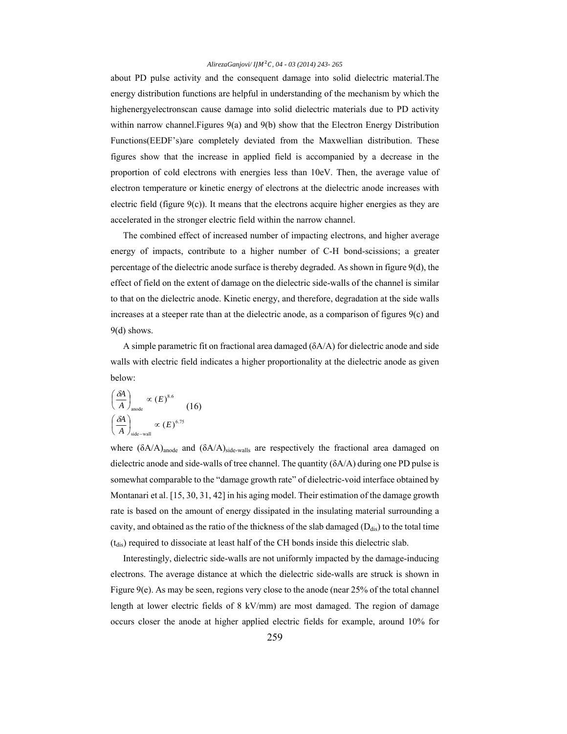about PD pulse activity and the consequent damage into solid dielectric material.The energy distribution functions are helpful in understanding of the mechanism by which the highenergyelectronscan cause damage into solid dielectric materials due to PD activity within narrow channel. Figures 9(a) and 9(b) show that the Electron Energy Distribution Functions(EEDF's)are completely deviated from the Maxwellian distribution. These figures show that the increase in applied field is accompanied by a decrease in the proportion of cold electrons with energies less than 10eV. Then, the average value of electron temperature or kinetic energy of electrons at the dielectric anode increases with electric field (figure  $9(c)$ ). It means that the electrons acquire higher energies as they are accelerated in the stronger electric field within the narrow channel.

The combined effect of increased number of impacting electrons, and higher average energy of impacts, contribute to a higher number of C-H bond-scissions; a greater percentage of the dielectric anode surface is thereby degraded. As shown in figure 9(d), the effect of field on the extent of damage on the dielectric side-walls of the channel is similar to that on the dielectric anode. Kinetic energy, and therefore, degradation at the side walls increases at a steeper rate than at the dielectric anode, as a comparison of figures 9(c) and 9(d) shows.

A simple parametric fit on fractional area damaged  $(\delta A/A)$  for dielectric anode and side walls with electric field indicates a higher proportionality at the dielectric anode as given below:

$$
\left(\frac{\delta A}{A}\right)_{\text{anode}} \propto (E)^{8.6} \qquad (16)
$$

$$
\left(\frac{\delta A}{A}\right)_{\text{side-wall}} \propto (E)^{6.75}
$$

where  $(\delta A/A)_{\text{anode}}$  and  $(\delta A/A)_{\text{side-walls}}$  are respectively the fractional area damaged on dielectric anode and side-walls of tree channel. The quantity (δA/A) during one PD pulse is somewhat comparable to the "damage growth rate" of dielectric-void interface obtained by Montanari et al. [15, 30, 31, 42] in his aging model. Their estimation of the damage growth rate is based on the amount of energy dissipated in the insulating material surrounding a cavity, and obtained as the ratio of the thickness of the slab damaged  $(D_{dis})$  to the total time  $(t_{dis})$  required to dissociate at least half of the CH bonds inside this dielectric slab.

Interestingly, dielectric side-walls are not uniformly impacted by the damage-inducing electrons. The average distance at which the dielectric side-walls are struck is shown in Figure 9(e). As may be seen, regions very close to the anode (near 25% of the total channel length at lower electric fields of 8 kV/mm) are most damaged. The region of damage occurs closer the anode at higher applied electric fields for example, around 10% for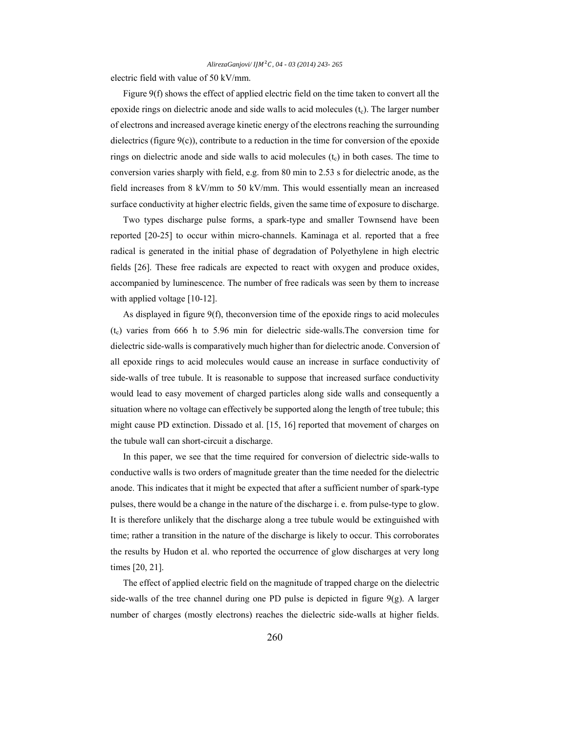electric field with value of 50 kV/mm.

Figure 9(f) shows the effect of applied electric field on the time taken to convert all the epoxide rings on dielectric anode and side walls to acid molecules  $(t<sub>c</sub>)$ . The larger number of electrons and increased average kinetic energy of the electrons reaching the surrounding dielectrics (figure 9(c)), contribute to a reduction in the time for conversion of the epoxide rings on dielectric anode and side walls to acid molecules  $(t<sub>c</sub>)$  in both cases. The time to conversion varies sharply with field, e.g. from 80 min to 2.53 s for dielectric anode, as the field increases from 8 kV/mm to 50 kV/mm. This would essentially mean an increased surface conductivity at higher electric fields, given the same time of exposure to discharge.

Two types discharge pulse forms, a spark-type and smaller Townsend have been reported [20-25] to occur within micro-channels. Kaminaga et al. reported that a free radical is generated in the initial phase of degradation of Polyethylene in high electric fields [26]. These free radicals are expected to react with oxygen and produce oxides, accompanied by luminescence. The number of free radicals was seen by them to increase with applied voltage [10-12].

As displayed in figure 9(f), theconversion time of the epoxide rings to acid molecules  $(t<sub>c</sub>)$  varies from 666 h to 5.96 min for dielectric side-walls. The conversion time for dielectric side-walls is comparatively much higher than for dielectric anode. Conversion of all epoxide rings to acid molecules would cause an increase in surface conductivity of side-walls of tree tubule. It is reasonable to suppose that increased surface conductivity would lead to easy movement of charged particles along side walls and consequently a situation where no voltage can effectively be supported along the length of tree tubule; this might cause PD extinction. Dissado et al. [15, 16] reported that movement of charges on the tubule wall can short-circuit a discharge.

In this paper, we see that the time required for conversion of dielectric side-walls to conductive walls is two orders of magnitude greater than the time needed for the dielectric anode. This indicates that it might be expected that after a sufficient number of spark-type pulses, there would be a change in the nature of the discharge i. e. from pulse-type to glow. It is therefore unlikely that the discharge along a tree tubule would be extinguished with time; rather a transition in the nature of the discharge is likely to occur. This corroborates the results by Hudon et al. who reported the occurrence of glow discharges at very long times [20, 21].

The effect of applied electric field on the magnitude of trapped charge on the dielectric side-walls of the tree channel during one PD pulse is depicted in figure  $9(g)$ . A larger number of charges (mostly electrons) reaches the dielectric side-walls at higher fields.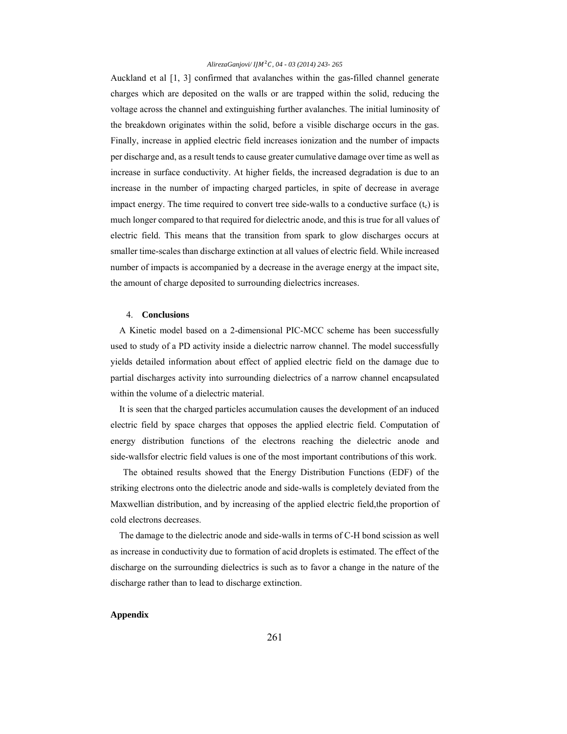Auckland et al [1, 3] confirmed that avalanches within the gas-filled channel generate charges which are deposited on the walls or are trapped within the solid, reducing the voltage across the channel and extinguishing further avalanches. The initial luminosity of the breakdown originates within the solid, before a visible discharge occurs in the gas. Finally, increase in applied electric field increases ionization and the number of impacts per discharge and, as a result tends to cause greater cumulative damage over time as well as increase in surface conductivity. At higher fields, the increased degradation is due to an increase in the number of impacting charged particles, in spite of decrease in average impact energy. The time required to convert tree side-walls to a conductive surface  $(t_c)$  is much longer compared to that required for dielectric anode, and this is true for all values of electric field. This means that the transition from spark to glow discharges occurs at smaller time-scales than discharge extinction at all values of electric field. While increased number of impacts is accompanied by a decrease in the average energy at the impact site, the amount of charge deposited to surrounding dielectrics increases.

### 4. **Conclusions**

A Kinetic model based on a 2-dimensional PIC-MCC scheme has been successfully used to study of a PD activity inside a dielectric narrow channel. The model successfully yields detailed information about effect of applied electric field on the damage due to partial discharges activity into surrounding dielectrics of a narrow channel encapsulated within the volume of a dielectric material.

It is seen that the charged particles accumulation causes the development of an induced electric field by space charges that opposes the applied electric field. Computation of energy distribution functions of the electrons reaching the dielectric anode and side-wallsfor electric field values is one of the most important contributions of this work.

The obtained results showed that the Energy Distribution Functions (EDF) of the striking electrons onto the dielectric anode and side-walls is completely deviated from the Maxwellian distribution, and by increasing of the applied electric field,the proportion of cold electrons decreases.

The damage to the dielectric anode and side-walls in terms of C-H bond scission as well as increase in conductivity due to formation of acid droplets is estimated. The effect of the discharge on the surrounding dielectrics is such as to favor a change in the nature of the discharge rather than to lead to discharge extinction.

### **Appendix**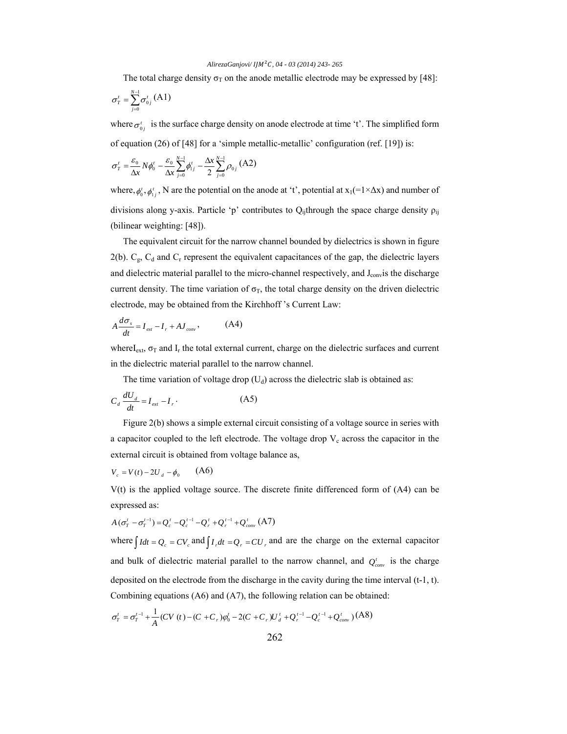The total charge density  $\sigma_T$  on the anode metallic electrode may be expressed by [48]:

$$
\sigma_{\scriptscriptstyle T}^{\scriptscriptstyle t}=\sum_{\scriptscriptstyle j=0}^{N-1}\sigma_{0\,j}^{\scriptscriptstyle t}\left(\rm{A1}\right)
$$

where  $\sigma_{0j}^t$  is the surface charge density on anode electrode at time 't'. The simplified form of equation (26) of [48] for a 'simple metallic-metallic' configuration (ref. [19]) is:

$$
\sigma'_{T} = \frac{\varepsilon_{0}}{\Delta x} N \phi'_{0} - \frac{\varepsilon_{0}}{\Delta x} \sum_{j=0}^{N-1} \phi'_{1j} - \frac{\Delta x}{2} \sum_{j=0}^{N-1} \rho_{0j} (A2)
$$

where,  $\phi_0^t$ ,  $\phi_{1j}^t$ , N are the potential on the anode at 't', potential at  $x_1(=1 \times \Delta x)$  and number of divisions along y-axis. Particle 'p' contributes to Q<sub>ij</sub>through the space charge density  $\rho_{ii}$ (bilinear weighting: [48]).

The equivalent circuit for the narrow channel bounded by dielectrics is shown in figure 2(b).  $C_g$ ,  $C_d$  and  $C_r$  represent the equivalent capacitances of the gap, the dielectric layers and dielectric material parallel to the micro-channel respectively, and  $J_{\text{conv}}$  is the discharge current density. The time variation of  $\sigma_T$ , the total charge density on the driven dielectric electrode, may be obtained from the Kirchhoff 's Current Law:

$$
A\frac{d\sigma_s}{dt} = I_{ext} - I_r + AJ_{conv}, \qquad (A4)
$$

where $I_{ext}$ ,  $\sigma_T$  and  $I_r$  the total external current, charge on the dielectric surfaces and current in the dielectric material parallel to the narrow channel.

The time variation of voltage drop  $(U_d)$  across the dielectric slab is obtained as:

$$
C_d \frac{dU_d}{dt} = I_{ext} - I_r \tag{A5}
$$

Figure 2(b) shows a simple external circuit consisting of a voltage source in series with a capacitor coupled to the left electrode. The voltage drop  $V_c$  across the capacitor in the external circuit is obtained from voltage balance as,

 $V_c = V(t) - 2U_d - \phi_0$  (A6)

V(t) is the applied voltage source. The discrete finite differenced form of (A4) can be expressed as:

$$
A(\sigma_r^t - \sigma_r^{t-1}) = Q_c^t - Q_c^{t-1} - Q_r^t + Q_r^{t-1} + Q_{conv}^t (A7)
$$

where  $\int I dt = Q_c = CV_c$  and  $\int I_r dt = Q_r = CU_r$  and are the charge on the external capacitor and bulk of dielectric material parallel to the narrow channel, and  $Q_{conv}^t$  is the charge deposited on the electrode from the discharge in the cavity during the time interval (t-1, t). Combining equations (A6) and (A7), the following relation can be obtained:

$$
\sigma'_{T} = \sigma'^{-1}_{T} + \frac{1}{A} (CV(t) - (C + C_{r})\phi'_{0} - 2(C + C_{r})U'_{d} + Q'^{-1}_{r} - Q'^{-1}_{c} + Q'_{conv})
$$
 (A8)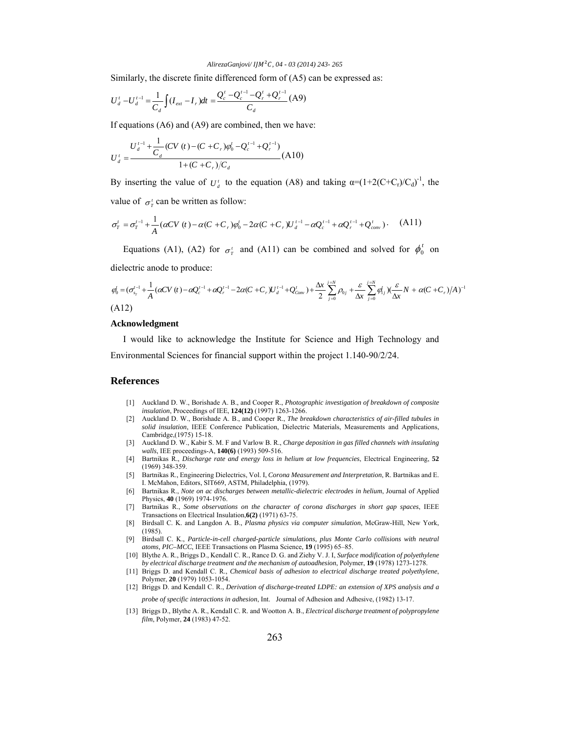Similarly, the discrete finite differenced form of (A5) can be expressed as:

$$
U_d^t - U_d^{t-1} = \frac{1}{C_d} \int (I_{ext} - I_r) dt = \frac{Q_c^t - Q_c^{t-1} - Q_r^t + Q_r^{t-1}}{C_d} (A9)
$$

If equations (A6) and (A9) are combined, then we have:

$$
U_d^t = \frac{U_d^{t-1} + \frac{1}{C_d}(CV(t) - (C + C_r)\phi_0^t - Q_c^{t-1} + Q_r^{t-1})}{1 + (C + C_r)/C_d} (A10)
$$

By inserting the value of  $U_d^t$  to the equation (A8) and taking  $\alpha = (1 + 2(C + C_r)/C_d)^{-1}$ , the

value of  $\sigma_r^t$  can be written as follow:

$$
\sigma'_{T} = \sigma'^{-1}_{T} + \frac{1}{A} (\alpha CV(t) - \alpha (C + C_{r})\phi'_{0} - 2\alpha (C + C_{r})U'^{-1}_{d} - \alpha Q'^{-1}_{c} + \alpha Q'^{-1}_{r} + Q'^{-1}_{conv}). \tag{A11}
$$

Equations (A1), (A2) for  $\sigma_r^t$  and (A11) can be combined and solved for  $\phi_0^t$  on

dielectric anode to produce:

$$
\varphi_0^t = (\sigma_{s_r}^{t-1} + \frac{1}{A} (\alpha CV(t) - \alpha Q_c^{t-1} + \alpha Q_r^{t-1} - 2\alpha (C + C_r)U_d^{t-1} + Q_{\text{Conv}}^t) + \frac{\Delta x}{2} \sum_{j=0}^{j=N} \rho_{0j} + \frac{\varepsilon}{\Delta x} \sum_{j=0}^{j=N} \varphi_{1j}^t) (\frac{\varepsilon}{\Delta x}N + \alpha (C + C_r)/A)^{-1}
$$
\n(A12)

#### **Acknowledgment**

I would like to acknowledge the Institute for Science and High Technology and Environmental Sciences for financial support within the project 1.140-90/2/24.

# **References**

- [1] Auckland D. W., Borishade A. B., and Cooper R., *Photographic investigation of breakdown of composite insulation*, Proceedings of IEE, **124(12)** (1997) 1263-1266.
- [2] Auckland D. W., Borishade A. B., and Cooper R., *The breakdown characteristics of air-filled tubules in solid insulation*, IEEE Conference Publication, Dielectric Materials, Measurements and Applications, Cambridge,(1975) 15-18.
- [3] Auckland D. W., Kabir S. M. F and Varlow B. R., *Charge deposition in gas filled channels with insulating walls*, IEE proceedings-A, **140(6)** (1993) 509-516.
- [4] Bartnikas R., *Discharge rate and energy loss in helium at low frequencies*, Electrical Engineering, **52** (1969) 348-359.
- [5] Bartnikas R., Engineering Dielectrics, Vol. I, *Corona Measurement and Interpretation*, R. Bartnikas and E. I. McMahon, Editors, SlT669, ASTM, Philadelphia, (1979).
- [6] Bartnikas R., *Note on ac discharges between metallic-dielectric electrodes in helium*, Journal of Applied Physics, **40** (1969) 1974-1976.
- [7] Bartnikas R., *Some observations on the character of corona discharges in short gap spaces*, IEEE Transactions on Electrical Insulation,**6(2)** (1971) 63-75.
- [8] Birdsall C. K. and Langdon A. B., *Plasma physics via computer simulation*, McGraw-Hill, New York, (1985).
- [9] Birdsall C. K., *Particle-in-cell charged-particle simulations, plus Monte Carlo collisions with neutral atoms, PIC–MCC*, IEEE Transactions on Plasma Science, **19** (1995) 65–85.
- [10] Blythe A. R., Briggs D., Kendall C. R., Rance D. G. and Ziehy V. J. I, *Surface modification of polyethylene by electrical discharge treatment and the mechanism of autoadhesion*, Polymer, **19** (1978) 1273-1278.
- [11] Briggs D. and Kendall C. R., *Chemical basis of adhesion to electrical discharge treated polyethylene*, Polymer, **20** (1979) 1053-1054.
- [12] Briggs D. and Kendall C. R., *Derivation of discharge-treated LDPE: an extension of XPS analysis and a probe of specific interactions in adhesion*, Int. Journal of Adhesion and Adhesive, (1982) 13-17.
- [13] Briggs D., Blythe A. R., Kendall C. R. and Wootton A. B., *Electrical discharge treatment of polypropylene film*, Polymer, **24** (1983) 47-52.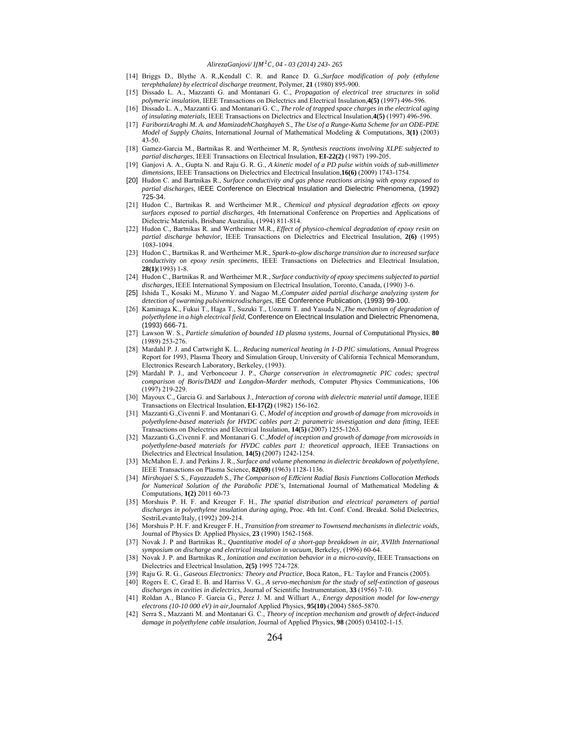- [14] Briggs D., Blythe A. R.,Kendall C. R. and Rance D. G.,*Surface modification of poly (ethylene terephthalate) by electrical discharge treatment*, Polymer, **21** (1980) 895-900.
- [15] Dissado L. A., Mazzanti G. and Montanari G. C., *Propagation of electrical tree structures in solid polymeric insulation*, IEEE Transactions on Dielectrics and Electrical Insulation,**4(5)** (1997) 496-596.
- [16] Dissado L. A., Mazzanti G. and Montanari G. C., *The role of trapped space charges in the electrical aging of insulating materials,* IEEE Transactions on Dielectrics and Electrical Insulation,**4(5)** (1997) 496-596.
- [17] *FariborziAraghi M. A. and MamizadehChatghayeh S., The Use of a Runge-Kutta Scheme for an ODE-PDE Model of Supply Chains*, International Journal of Mathematical Modeling & Computations, **3(1)** (2003) 43-50.
- [18] Gamez-Garcia M., Bartnikas R. and Wertheimer M. R, *Synthesis reactions involving XLPE subjected to partial discharges*, IEEE Transactions on Electrical Insulation, **EI-22(2)** (1987) 199-205.
- [19] Ganjovi A. A., Gupta N. and Raju G. R. G., *A kinetic model of a PD pulse within voids of sub-millimeter dimensions*, IEEE Transactions on Dielectrics and Electrical Insulation,**16(6)** (2009) 1743-1754.
- [20] Hudon C. and Bartnikas R., *Surface conductivity and gas phase reactions arising with epoxy exposed to partial discharges*, IEEE Conference on Electrical Insulation and Dielectric Phenomena, (1992) 725-34.
- [21] Hudon C., Bartnikas R. and Wertheimer M.R., *Chemical and physical degradation effects on epoxy surfaces exposed to partial discharges*, 4th International Conference on Properties and Applications of Dielectric Materials, Brisbane Australia, (1994) 811-814.
- [22] Hudon C., Bartnikas R. and Wertheimer M.R., *Effect of physico-chemical degradation of epoxy resin on partial discharge behavior*, IEEE Transactions on Dielectrics and Electrical Insulation, **2(6)** (1995) 1083-1094.
- [23] Hudon C., Bartnikas R. and Wertheimer M.R., *Spark-to-glow discharge transition due to increased surface conductivity on epoxy resin specimens*, IEEE Transactions on Dielectrics and Electrical Insulation, **28(1)**(1993) 1-8.
- [24] Hudon C., Bartnikas R. and Wertheimer M.R., *Surface conductivity of epoxy specimens subjected to partial discharges*, IEEE International Symposium on Electrical Insulation, Toronto, Canada, (1990) 3-6.
- [25] Ishida T., Kosaki M., Mizuno Y. and Nagao M.,*Computer aided partial discharge analyzing system for detection of swarming pulsivemicrodischarges*, IEE Conference Publication, (1993) 99-100.
- [26] Kaminaga K., Fukui T., Haga T., Suzuki T., Uozumi T. and Yasuda N.,*The mechanism of degradation of polyethylene in a high electrical field*, Conference on Electrical Insulation and Dielectric Phenomena, (1993) 666-71.
- [27] Lawson W. S., *Particle simulation of bounded 1D plasma systems*, Journal of Computational Physics, **80** (1989) 253-276.
- [28] Mardahl P. J. and Cartwright K. L., *Reducing numerical heating in 1-D PIC simulations*, Annual Progress Report for 1993, Plasma Theory and Simulation Group, University of California Technical Memorandum, Electronics Research Laboratory, Berkeley, (1993).
- [29] Mardahl P. J., and Verboncoeur J. P., *Charge conservation in electromagnetic PIC codes; spectral comparison of Boris/DADI and Langdon-Marder methods*, Computer Physics Communications, 106 (1997) 219-229.
- [30] Mayoux C., Garcia G. and Sarlaboux J., *Interaction of corona with dielectric material until damage*, IEEE Transactions on Electrical Insulation, **EI-17(2)** (1982) 156-162.
- [31] Mazzanti G.,Civenni F. and Montanari G. C, *Model of inception and growth of damage from microvoids in polyethylene-based materials for HVDC cables part 2: parametric investigation and data fitting*, IEEE Transactions on Dielectrics and Electrical Insulation, **14(5)** (2007) 1255-1263.
- [32] Mazzanti G.,Civenni F. and Montanari G. C.,*Model of inception and growth of damage from microvoids in polyethylene-based materials for HVDC cables part 1: theoretical approach*, IEEE Transactions on Dielectrics and Electrical Insulation, **14(5)** (2007) 1242-1254.
- [33] McMahon E. J. and Perkins J. R., *Surface and volume phenomena in dielectric breakdown of polyethylene*, IEEE Transactions on Plasma Science, **82(69)** (1963) 1128-1136.
- [34] *Mirshojaei S. S., Fayazzadeh S., The Comparison of E*ffi*cient Radial Basis Functions Collocation Methods for Numerical Solution of the Parabolic PDE's*, International Journal of Mathematical Modeling & Computations, **1(2)** 2011 60-73
- [35] Morshuis P. H. F. and Kreuger F. H., *The spatial distribution and electrical parameters of partial discharges in polyethylene insulation during aging*, Proc. 4th Int. Conf. Cond. Breakd. Solid Dielectrics, SestriLevante/Italy, (1992) 209-214.
- [36] Morshuis P. H. F. and Kreuger F. H., *Transition from streamer to Townsend mechanisms in dielectric voids*, Journal of Physics D: Applied Physics, **23** (1990) 1562-1568.
- [37] Novak J. P and Bartnikas R., *Quantitative model of a short-gap breakdown in air, XVIIth International symposium on discharge and electrical insulation in vacuum*, Berkeley, (1996) 60-64.
- [38] Novak J. P. and Bartnikas R., *Ionization and excitation behavior in a micro-cavity*, IEEE Transactions on Dielectrics and Electrical Insulation, **2(5)** 1995 724-728.
- [39] Raju G. R. G., *Gaseous Electronics: Theory and Practice*, Boca Raton,. FL: Taylor and Francis (2005).
- [40] Rogers E. C, Grad E. B. and Harriss V. G., *A servo-mechanism for the study of self-extinction of gaseous discharges in cavities in dielectrics*, Journal of Scientific Instrumentation, **33** (1956) 7-10.
- [41] Roldan A., Blanco F. Garcia G., Perez J. M. and Williart A., *Energy deposition model for low-energy electrons (10-10 000 eV) in air,*Journalof Applied Physics, **95(10)** (2004) 5865-5870.
- [42] Serra S., Mazzanti M. and Montanari G. C., *Theory of inception mechanism and growth of defect-induced damage in polyethylene cable insulation*, Journal of Applied Physics, **98** (2005) 034102-1-15.